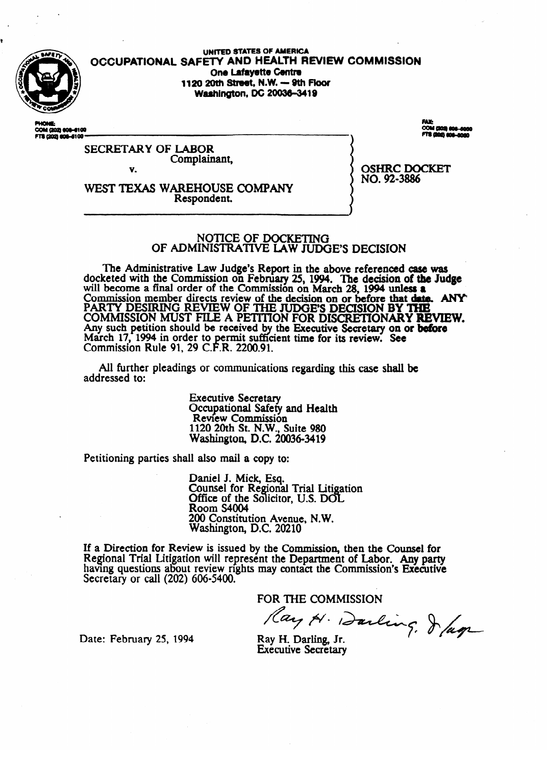

**UNITED STATES OF AMERICA** OCCUPATIONAL SAFETY AND HEALTH REVIEW COMMISSION One Lafayette Centre 1120 20th Street, N.W. - 9th Floor **Washington, DC 20036-3419** 

COM (202) 808-8100<br>FTS (202) 808-6100

**SECRETARY OF LABOR** Complainant, V.

WEST TEXAS WAREHOUSE COMPANY Respondent.

**OSHRC DOCKET** NO. 92-3886

#### NOTICE OF DOCKETING OF ADMINISTRATIVE LAW JUDGE'S DECISION

The Administrative Law Judge's Report in the above referenced case was docketed with the Commission on February 25, 1994. The decision of the Judge will become a final order of the Commission on March 28, 1994 unless a Commission member directs review of the decision on or before that date. ANY PARTY DESIRING REVIEW OF THE JUDGE'S DECISION BY THE COMMISSION MUST FILE A PETITION FOR DISCRETIONARY REVIEW. Any such petition should be received by the Executive Secretary on or before March 17, 1994 in order to permit sufficient time for its review. See<br>Commission Rule 91, 29 C.F.R. 2200.91.

All further pleadings or communications regarding this case shall be addressed to:

> **Executive Secretary** Occupational Safety and Health Review Commission<br>1120 20th St. N.W., Suite 980<br>Washington, D.C. 20036-3419

Petitioning parties shall also mail a copy to:

Daniel J. Mick, Esq. Counsel for Regional Trial Litigation Office of the Solicitor, U.S. DOL **Room S4004** 200 Constitution Avenue, N.W. Washington, D.C. 20210

If a Direction for Review is issued by the Commission, then the Counsel for Regional Trial Litigation will represent the Department of Labor. Any party having questions about review rights may contact the Commission's Executive Secretary or call (202) 606-5400.

FOR THE COMMISSION

Ray H. Darling. Jag

Date: February 25, 1994

Ray H. Darling. Jr. **Executive Secretary**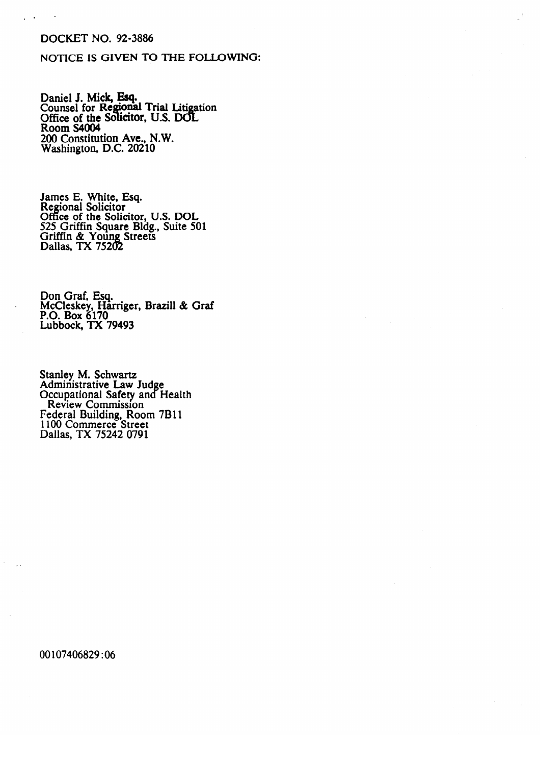## **DOCKET NO. 92-3886**

 $\mathbf{r}$ 

### NOTICE IS GIVEN TO THE FOLLOWING:

Daniel J. Mick, Esq.<br>Counsel for Regional Trial Litigation<br>Office of the Solicitor, U.S. DOL<br>Room S4004 200 Constitution Ave., N.W.<br>Washington, D.C. 20210

James E. White, Esq.<br>Regional Solicitor<br>Office of the Solicitor, U.S. DOL<br>525 Griffin Square Bldg., Suite 501<br>Griffin & Young Streets<br>Dallas, TX 75202

Don Graf, Esq.<br>McCleskey, Harriger, Brazill & Graf<br>P.O. Box 6170<br>Lubbock, TX 79493

Stanley M. Schwartz<br>Administrative Law Judge<br>Occupational Safety and Health<br>Review Commission<br>Federal Building, Room 7B11<br>1100 Commerce Street<br>Dallas, TX 75242 0791

00107406829:06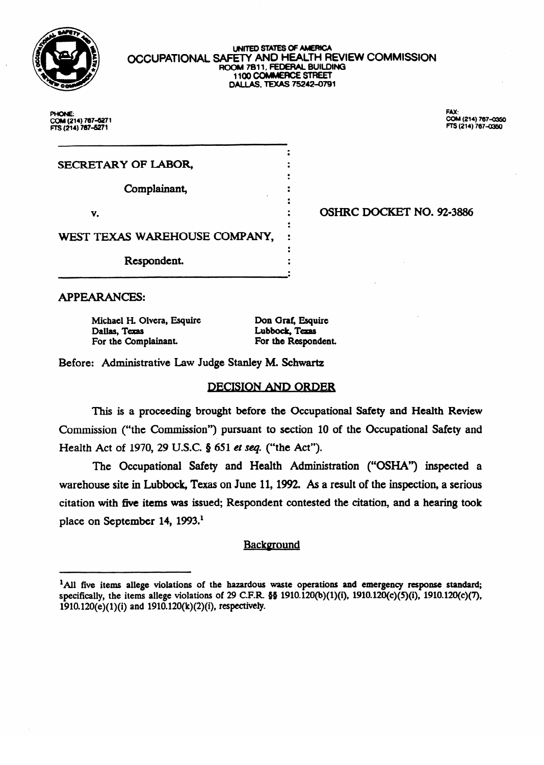

#### **UNITED STATES OF AMERICA OCCUPATIONAL SAFETY AND HEALTH REVIEW COMMISSION ROOM 7B11, FEDERAL BUILDING 1100 COMMERCE STREET ILOO COMMERCE**<br>ALL AC TEVAC 7E **DALlAS,TD(As75242~791**

a  $\ddot{\cdot}$  $\bullet$ 

:<br>.  $\ddot{\cdot}$  $\ddot{\cdot}$ 

:<br>.

 $\cdot$  .

<sup>0</sup>OSHRC DOCKET NO. 92-3886

PHONE: COM (214) 767-6271 COM **(214) 7074271 FE** (214) **767-l** 

**FAY.** COM (214) 767-0350 **COM (214) 787-(X3so Rs (214) 707d360** 

SECRETARY OF LABOR,

Complainant,

WEST TEXAS WAREHOUSE COMPANY, IN THE SERVICE COMPANY, IN THE SERVICE COMPANY, IN THE SERVICE COMPANY, IN THE S

Respondent. 0 a

**APPEARANCES:** 

**Michael H. Complete Estate Complete Lubbock, Texas**<br>
For the Respondent.<br>
For the Respondent. For the Complainant.

Don Graf, Esquire

Before: Administrative Law Judge Stanley M. Schwartz

# **DECISION AND ORDER**

This is a proceeding brought before the Occupational Safety and Health Review Commission ("the Commission") pursuant to section 10 of the Occupational Safety and Health Act of 1970, 29 U.S.C.  $\S$  651 et seq. ("the Act").

The Occupational Safety and Health Administration ("OSHA") inspected a warehouse site in Lubbock, Texas on June 11, 1992. As a result of the inspection, a serious citation with five items was issued; Respondent contested the citation, and a hearing took place on September 14, 1993.<sup>1</sup>

# **Background**

<sup>&</sup>lt;sup>1</sup>All five items allege violations of the hazardous waste operations and emergency response standard; specifically, the items allege violations of 29 C.F.R.  $\S$ § 1910.120(b)(1)(i), 1910.120(c)(5)(i), 1910.120(c)(7), **1910.120(e)(1)(i) and 1910.120(k)(2)(i), respectively.**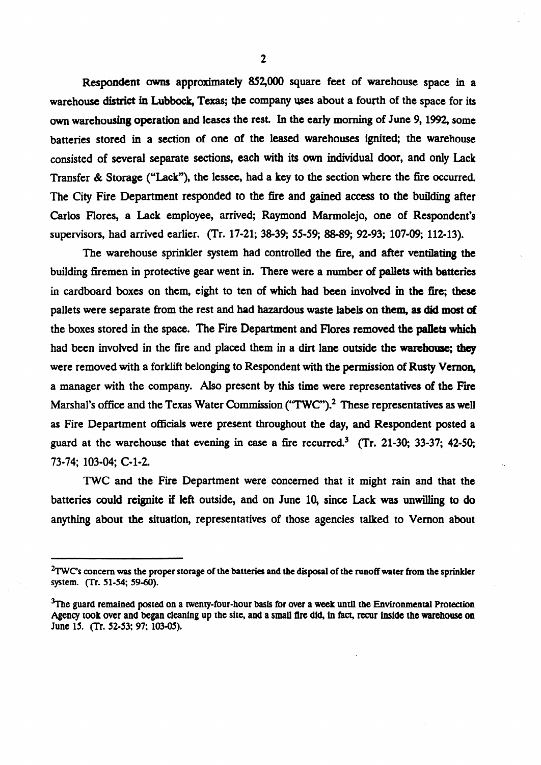Respondent owns approximately 852,000 square feet of warehouse space in a warehouse district in Lubbock, Texas; the company uses about a fourth of the space for its own warehousing operation and leases the rest. In the early morning of June 9, 1992, some batteries stored in a section of one of the leased warehouses ignited; the warehouse consisted of **several** separate sections, each with its own individual door, and only Lack Transfer & Storage ("Lack"), the lessee, had a key to the section where the fire occurred. The City Fire Department responded to the fire and gained access to the building after Carlos Flores, a Lack employee, arrived; Raymond Marmolejo, one of Respondent's supervisors, had arrived earlier. (Tr. 17-21; 38-39; 55-59; 88-89; 92-93; 107-09; 112-13).

The warehouse sprinkler system had controlled the fire, and after ventilating the building firemen in protective gear went in. There were a number of pallets with batteries in cardboard boxes on them, eight to ten of which had been involved in the fire; these pallets were separate from the rest and had hazardous waste labels on them, 85 did **most of**  the boxes stored in the space. The Fire Department and Flores removed the pallets which had been involved in the fire and placed them in a dirt lane outside the warehouse; they were removed with a forklift belonging to Respondent with the permission of Rusty Vernon, a manager with the company. Also present by this time were representatives of the Fire Marshal's office and the Texas Water Commission ("TWC").<sup>2</sup> These representatives as well as Fire Department officials were present throughout the day, and Respondent posted a guard at the warehouse that evening in case a fire recurred.<sup>3</sup> (Tr. 21-30; 33-37; 42-50; 73-74; 103-04; c-1-2.

TWC and the Fire Department were concerned that it might rain and that the batteries could reignite if left outside, and on June 10, since Lack was unwilling to do anything about the situation, representatives of those agencies talked to Vernon about

**<sup>%</sup>WCs concern was the** proper **storage of the batteries and the disposal of the runoff water from the sprinkler**  system. (Tr. 51-54; 59-60).

<sup>&</sup>lt;sup>3</sup>The guard remained posted on a twenty-four-hour basis for over a week until the Environmental Protection Agency took over and began cleaning up the site, and a small fire did, in fact, recur inside the warehouse on **June 15. (Tr. 52-53; 97; 103-05).**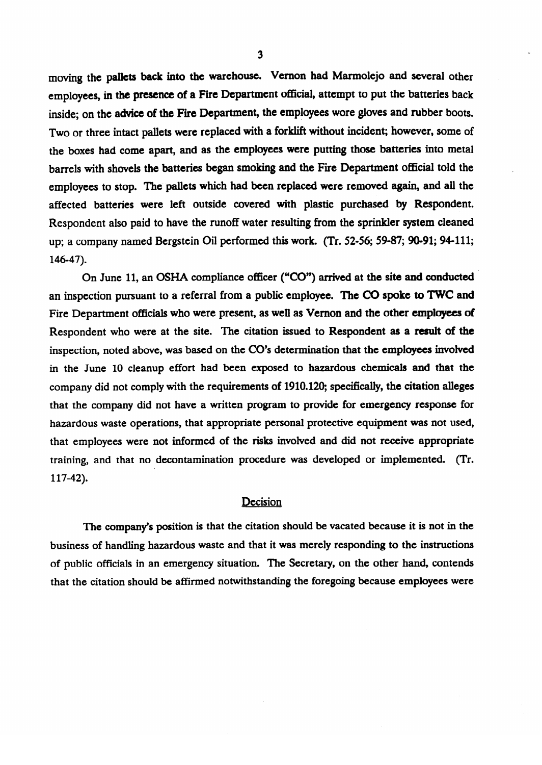moving the pallets back into the warehouse. Vernon had Marmolejo and several other **employees,** m the **presence** of a Fire Department official, attempt to put the batteries back inside; on the advice **of** the Fire Department, the employees wore gloves and rubber boots. Two or three intact pallets were replaced with a forklift without incident; however, some of the boxes had come apart, and as the employees were putting those batteries into metal barrels with shovels the batteries began smoking and the Fire Department official told the employees to stop. The pallets which had been replaced were removed again, and all the affected batteries were left outside covered with plastic purchased by Respondent. Respondent also paid to have the runoff water resulting from the sprinkler system cleaned up; a company named Bergstein Oil performed this work. (Tr. 52-56; 59-87; 90-91; 94-111;  $\mathbf{u}$ ,  $\mathbf{v}$ ,  $\mathbf{v}$ ,  $\mathbf{v}$ ,  $\mathbf{v}$ ,  $\mathbf{v}$ ,  $\mathbf{v}$ ,  $\mathbf{v}$ ,  $\mathbf{v}$ ,  $\mathbf{v}$ ,  $\mathbf{v}$ ,  $\mathbf{v}$ ,  $\mathbf{v}$ ,  $\mathbf{v}$ ,  $\mathbf{v}$ ,  $\mathbf{v}$ ,  $\mathbf{v}$ ,  $\mathbf{v}$ ,  $\mathbf{v}$ ,  $\mathbf{v}$ ,  $\mathbf{v}$ ,  $\mathbf{v}$ ,

 $\frac{1}{6}$ an inspection pursuant to a referral from a public employee. The CO spoke to TWC and Fire Department officials who were present, as well as Vernon and the other employees of Respondent who were at the site. The citation issued to Respondent as a result of the inspection, noted above, was based on the CO's determination that the employees involved in the June 10 cleanup effort had been exposed to hazardous chemicals and that the company did not comply with the requirements of 1910.120; specifically, the citation alleges that the company did not have a written program to provide for emergency response for hazardous waste operations, that appropriate personal protective equipment was not used, that employees were not informed of the risks involved and did not receive appropriate training, and that no decontamination procedure was developed or implemented. (Tr.  $t$ 117-42).

# Decision

The company's position is that the citation should be vacated because it is not in the business of handling hazardous waste and that it was merely responding to the instructions of public officials in an emergency situation. The Secretary, on the other hand, contends that the citation should be affirmed notwithstanding the foregoing because employees were